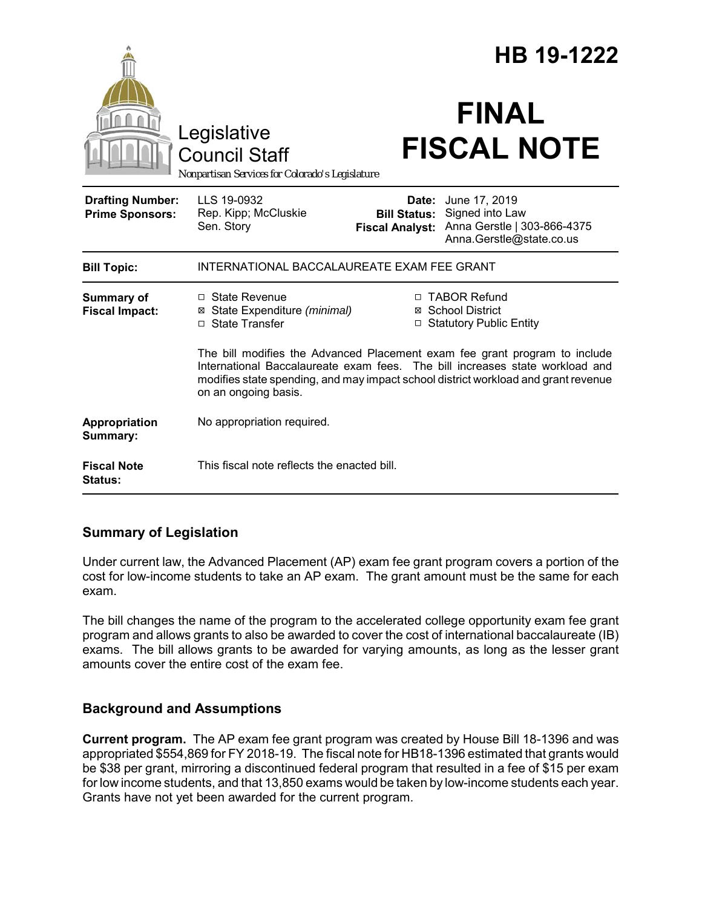|                                                   |                                                                                                                                                                                                                                                                          |                                                        | HB 19-1222                                                                                  |  |
|---------------------------------------------------|--------------------------------------------------------------------------------------------------------------------------------------------------------------------------------------------------------------------------------------------------------------------------|--------------------------------------------------------|---------------------------------------------------------------------------------------------|--|
|                                                   | Legislative<br><b>Council Staff</b><br>Nonpartisan Services for Colorado's Legislature                                                                                                                                                                                   |                                                        | <b>FINAL</b><br><b>FISCAL NOTE</b>                                                          |  |
| <b>Drafting Number:</b><br><b>Prime Sponsors:</b> | LLS 19-0932<br>Rep. Kipp; McCluskie<br>Sen. Story                                                                                                                                                                                                                        | Date:<br><b>Bill Status:</b><br><b>Fiscal Analyst:</b> | June 17, 2019<br>Signed into Law<br>Anna Gerstle   303-866-4375<br>Anna.Gerstle@state.co.us |  |
| <b>Bill Topic:</b>                                | INTERNATIONAL BACCALAUREATE EXAM FEE GRANT                                                                                                                                                                                                                               |                                                        |                                                                                             |  |
| <b>Summary of</b><br><b>Fiscal Impact:</b>        | □ State Revenue<br>⊠ State Expenditure (minimal)<br>□ State Transfer                                                                                                                                                                                                     |                                                        | □ TABOR Refund<br>⊠ School District<br>□ Statutory Public Entity                            |  |
|                                                   | The bill modifies the Advanced Placement exam fee grant program to include<br>International Baccalaureate exam fees. The bill increases state workload and<br>modifies state spending, and may impact school district workload and grant revenue<br>on an ongoing basis. |                                                        |                                                                                             |  |
| Appropriation<br>Summary:                         | No appropriation required.                                                                                                                                                                                                                                               |                                                        |                                                                                             |  |
| <b>Fiscal Note</b><br>Status:                     | This fiscal note reflects the enacted bill.                                                                                                                                                                                                                              |                                                        |                                                                                             |  |

# **Summary of Legislation**

Under current law, the Advanced Placement (AP) exam fee grant program covers a portion of the cost for low-income students to take an AP exam. The grant amount must be the same for each exam.

The bill changes the name of the program to the accelerated college opportunity exam fee grant program and allows grants to also be awarded to cover the cost of international baccalaureate (IB) exams. The bill allows grants to be awarded for varying amounts, as long as the lesser grant amounts cover the entire cost of the exam fee.

# **Background and Assumptions**

**Current program.** The AP exam fee grant program was created by House Bill 18-1396 and was appropriated \$554,869 for FY 2018-19. The fiscal note for HB18-1396 estimated that grants would be \$38 per grant, mirroring a discontinued federal program that resulted in a fee of \$15 per exam for low income students, and that 13,850 exams would be taken by low-income students each year. Grants have not yet been awarded for the current program.